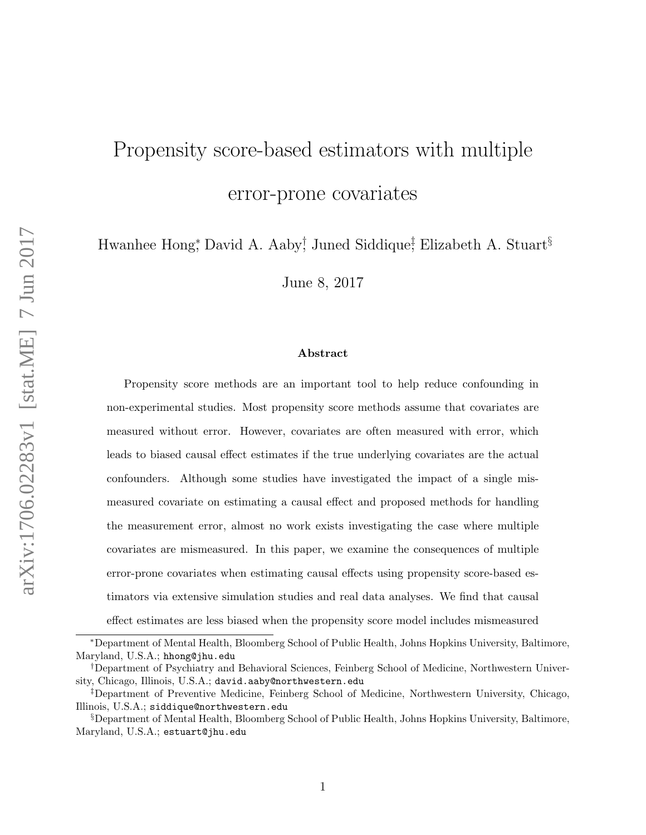# Propensity score-based estimators with multiple error-prone covariates

Hwanhee Hong<sup>∗</sup> , David A. Aaby† , Juned Siddique‡ , Elizabeth A. Stuart§

June 8, 2017

### Abstract

Propensity score methods are an important tool to help reduce confounding in non-experimental studies. Most propensity score methods assume that covariates are measured without error. However, covariates are often measured with error, which leads to biased causal effect estimates if the true underlying covariates are the actual confounders. Although some studies have investigated the impact of a single mismeasured covariate on estimating a causal effect and proposed methods for handling the measurement error, almost no work exists investigating the case where multiple covariates are mismeasured. In this paper, we examine the consequences of multiple error-prone covariates when estimating causal effects using propensity score-based estimators via extensive simulation studies and real data analyses. We find that causal effect estimates are less biased when the propensity score model includes mismeasured

<sup>∗</sup>Department of Mental Health, Bloomberg School of Public Health, Johns Hopkins University, Baltimore, Maryland, U.S.A.; hhong@jhu.edu

<sup>†</sup>Department of Psychiatry and Behavioral Sciences, Feinberg School of Medicine, Northwestern University, Chicago, Illinois, U.S.A.; david.aaby@northwestern.edu

<sup>‡</sup>Department of Preventive Medicine, Feinberg School of Medicine, Northwestern University, Chicago, Illinois, U.S.A.; siddique@northwestern.edu

<sup>§</sup>Department of Mental Health, Bloomberg School of Public Health, Johns Hopkins University, Baltimore, Maryland, U.S.A.; estuart@jhu.edu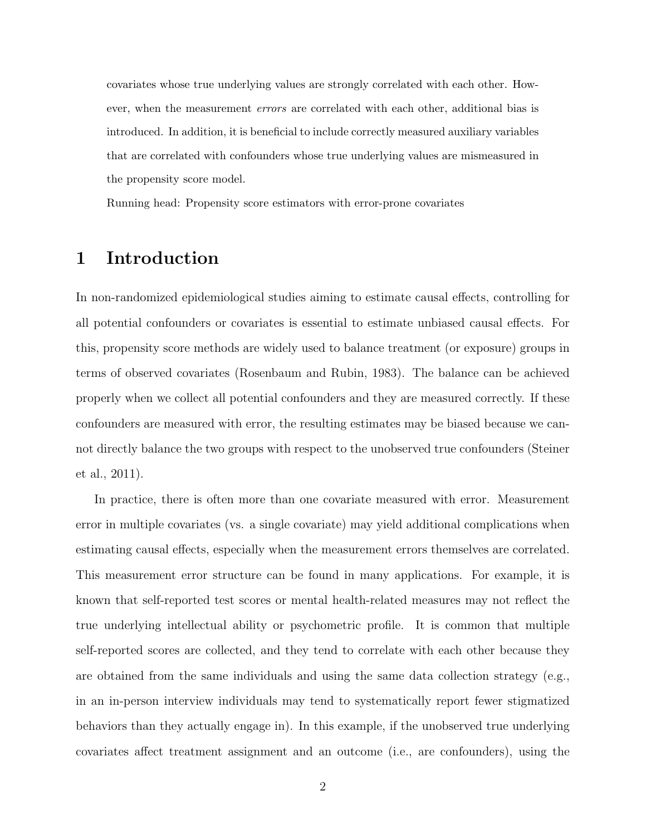covariates whose true underlying values are strongly correlated with each other. However, when the measurement errors are correlated with each other, additional bias is introduced. In addition, it is beneficial to include correctly measured auxiliary variables that are correlated with confounders whose true underlying values are mismeasured in the propensity score model.

Running head: Propensity score estimators with error-prone covariates

## 1 Introduction

In non-randomized epidemiological studies aiming to estimate causal effects, controlling for all potential confounders or covariates is essential to estimate unbiased causal effects. For this, propensity score methods are widely used to balance treatment (or exposure) groups in terms of observed covariates (Rosenbaum and Rubin, 1983). The balance can be achieved properly when we collect all potential confounders and they are measured correctly. If these confounders are measured with error, the resulting estimates may be biased because we cannot directly balance the two groups with respect to the unobserved true confounders (Steiner et al., 2011).

In practice, there is often more than one covariate measured with error. Measurement error in multiple covariates (vs. a single covariate) may yield additional complications when estimating causal effects, especially when the measurement errors themselves are correlated. This measurement error structure can be found in many applications. For example, it is known that self-reported test scores or mental health-related measures may not reflect the true underlying intellectual ability or psychometric profile. It is common that multiple self-reported scores are collected, and they tend to correlate with each other because they are obtained from the same individuals and using the same data collection strategy (e.g., in an in-person interview individuals may tend to systematically report fewer stigmatized behaviors than they actually engage in). In this example, if the unobserved true underlying covariates affect treatment assignment and an outcome (i.e., are confounders), using the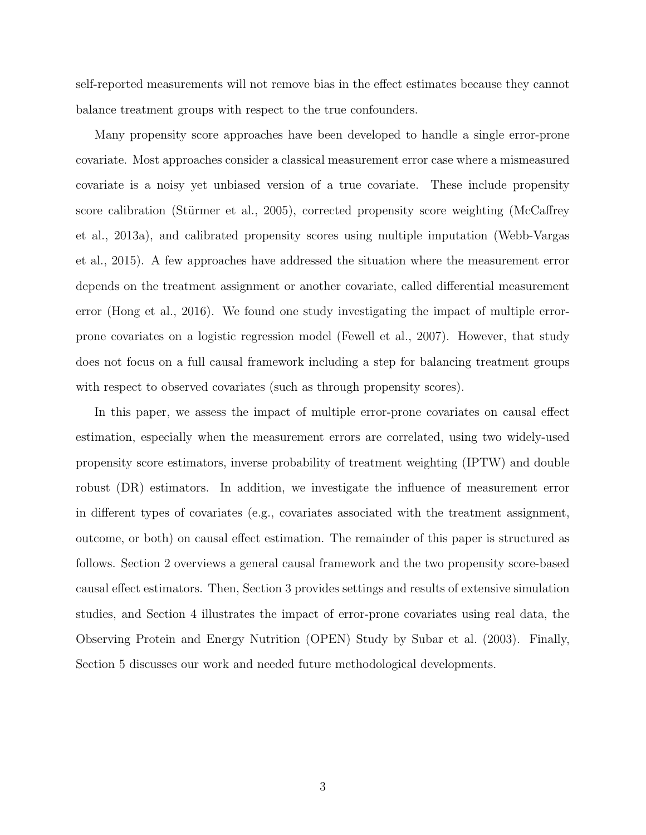self-reported measurements will not remove bias in the effect estimates because they cannot balance treatment groups with respect to the true confounders.

Many propensity score approaches have been developed to handle a single error-prone covariate. Most approaches consider a classical measurement error case where a mismeasured covariate is a noisy yet unbiased version of a true covariate. These include propensity score calibration (Stürmer et al., 2005), corrected propensity score weighting (McCaffrey et al., 2013a), and calibrated propensity scores using multiple imputation (Webb-Vargas et al., 2015). A few approaches have addressed the situation where the measurement error depends on the treatment assignment or another covariate, called differential measurement error (Hong et al., 2016). We found one study investigating the impact of multiple errorprone covariates on a logistic regression model (Fewell et al., 2007). However, that study does not focus on a full causal framework including a step for balancing treatment groups with respect to observed covariates (such as through propensity scores).

In this paper, we assess the impact of multiple error-prone covariates on causal effect estimation, especially when the measurement errors are correlated, using two widely-used propensity score estimators, inverse probability of treatment weighting (IPTW) and double robust (DR) estimators. In addition, we investigate the influence of measurement error in different types of covariates (e.g., covariates associated with the treatment assignment, outcome, or both) on causal effect estimation. The remainder of this paper is structured as follows. Section 2 overviews a general causal framework and the two propensity score-based causal effect estimators. Then, Section 3 provides settings and results of extensive simulation studies, and Section 4 illustrates the impact of error-prone covariates using real data, the Observing Protein and Energy Nutrition (OPEN) Study by Subar et al. (2003). Finally, Section 5 discusses our work and needed future methodological developments.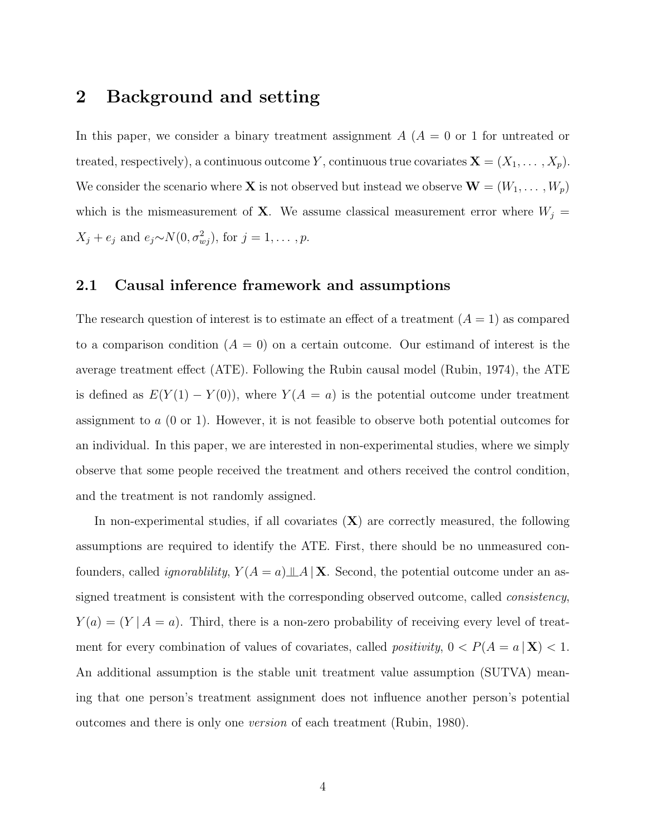## 2 Background and setting

In this paper, we consider a binary treatment assignment  $A(A = 0$  or 1 for untreated or treated, respectively), a continuous outcome Y, continuous true covariates  $\mathbf{X} = (X_1, \dots, X_p)$ . We consider the scenario where **X** is not observed but instead we observe  $\mathbf{W} = (W_1, \dots, W_p)$ which is the mismeasurement of **X**. We assume classical measurement error where  $W_j =$  $X_j + e_j$  and  $e_j \sim N(0, \sigma_{wj}^2)$ , for  $j = 1, \ldots, p$ .

### 2.1 Causal inference framework and assumptions

The research question of interest is to estimate an effect of a treatment  $(A = 1)$  as compared to a comparison condition  $(A = 0)$  on a certain outcome. Our estimand of interest is the average treatment effect (ATE). Following the Rubin causal model (Rubin, 1974), the ATE is defined as  $E(Y(1) - Y(0))$ , where  $Y(A = a)$  is the potential outcome under treatment assignment to a (0 or 1). However, it is not feasible to observe both potential outcomes for an individual. In this paper, we are interested in non-experimental studies, where we simply observe that some people received the treatment and others received the control condition, and the treatment is not randomly assigned.

In non-experimental studies, if all covariates  $(X)$  are correctly measured, the following assumptions are required to identify the ATE. First, there should be no unmeasured confounders, called *ignorablility*,  $Y(A = a) \perp A \mid X$ . Second, the potential outcome under an assigned treatment is consistent with the corresponding observed outcome, called consistency,  $Y(a) = (Y | A = a)$ . Third, there is a non-zero probability of receiving every level of treatment for every combination of values of covariates, called *positivity*,  $0 < P(A = a | \mathbf{X}) < 1$ . An additional assumption is the stable unit treatment value assumption (SUTVA) meaning that one person's treatment assignment does not influence another person's potential outcomes and there is only one version of each treatment (Rubin, 1980).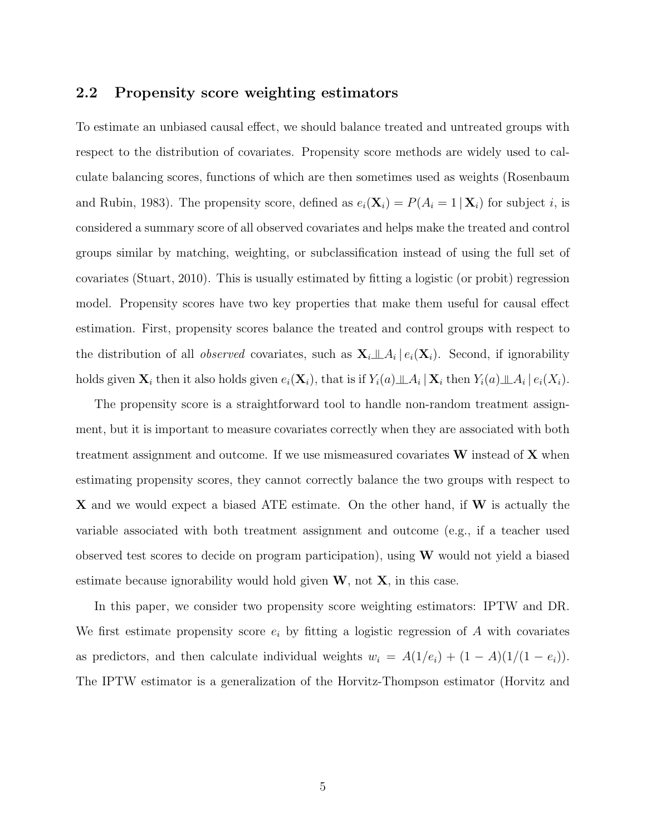### 2.2 Propensity score weighting estimators

To estimate an unbiased causal effect, we should balance treated and untreated groups with respect to the distribution of covariates. Propensity score methods are widely used to calculate balancing scores, functions of which are then sometimes used as weights (Rosenbaum and Rubin, 1983). The propensity score, defined as  $e_i(\mathbf{X}_i) = P(A_i = 1 | \mathbf{X}_i)$  for subject i, is considered a summary score of all observed covariates and helps make the treated and control groups similar by matching, weighting, or subclassification instead of using the full set of covariates (Stuart, 2010). This is usually estimated by fitting a logistic (or probit) regression model. Propensity scores have two key properties that make them useful for causal effect estimation. First, propensity scores balance the treated and control groups with respect to the distribution of all *observed* covariates, such as  $\mathbf{X}_i \perp A_i | e_i(\mathbf{X}_i)$ . Second, if ignorability holds given  $\mathbf{X}_i$  then it also holds given  $e_i(\mathbf{X}_i)$ , that is if  $Y_i(a) \perp \!\!\!\perp A_i | \mathbf{X}_i$  then  $Y_i(a) \perp \!\!\!\perp A_i | e_i(X_i)$ .

The propensity score is a straightforward tool to handle non-random treatment assignment, but it is important to measure covariates correctly when they are associated with both treatment assignment and outcome. If we use mismeasured covariates  $W$  instead of  $X$  when estimating propensity scores, they cannot correctly balance the two groups with respect to X and we would expect a biased ATE estimate. On the other hand, if W is actually the variable associated with both treatment assignment and outcome (e.g., if a teacher used observed test scores to decide on program participation), using W would not yield a biased estimate because ignorability would hold given  $W$ , not  $X$ , in this case.

In this paper, we consider two propensity score weighting estimators: IPTW and DR. We first estimate propensity score  $e_i$  by fitting a logistic regression of A with covariates as predictors, and then calculate individual weights  $w_i = A(1/e_i) + (1 - A)(1/(1 - e_i)).$ The IPTW estimator is a generalization of the Horvitz-Thompson estimator (Horvitz and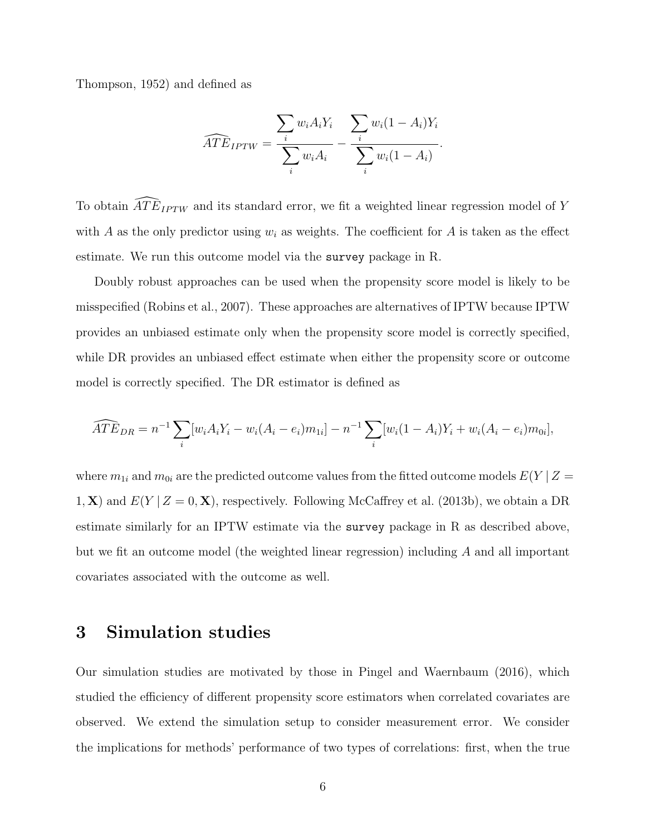Thompson, 1952) and defined as

$$
\widehat{ATE}_{IPTW} = \frac{\sum_{i} w_i A_i Y_i}{\sum_{i} w_i A_i} - \frac{\sum_{i} w_i (1 - A_i) Y_i}{\sum_{i} w_i (1 - A_i)}.
$$

To obtain  $\widehat{ATE}_{IPTW}$  and its standard error, we fit a weighted linear regression model of Y with A as the only predictor using  $w_i$  as weights. The coefficient for A is taken as the effect estimate. We run this outcome model via the survey package in R.

Doubly robust approaches can be used when the propensity score model is likely to be misspecified (Robins et al., 2007). These approaches are alternatives of IPTW because IPTW provides an unbiased estimate only when the propensity score model is correctly specified, while DR provides an unbiased effect estimate when either the propensity score or outcome model is correctly specified. The DR estimator is defined as

$$
\widehat{ATE}_{DR} = n^{-1} \sum_{i} [w_i A_i Y_i - w_i (A_i - e_i) m_{1i}] - n^{-1} \sum_{i} [w_i (1 - A_i) Y_i + w_i (A_i - e_i) m_{0i}],
$$

where  $m_{1i}$  and  $m_{0i}$  are the predicted outcome values from the fitted outcome models  $E(Y | Z =$ 1, X) and  $E(Y | Z = 0, X)$ , respectively. Following McCaffrey et al. (2013b), we obtain a DR estimate similarly for an IPTW estimate via the survey package in R as described above, but we fit an outcome model (the weighted linear regression) including A and all important covariates associated with the outcome as well.

## 3 Simulation studies

Our simulation studies are motivated by those in Pingel and Waernbaum (2016), which studied the efficiency of different propensity score estimators when correlated covariates are observed. We extend the simulation setup to consider measurement error. We consider the implications for methods' performance of two types of correlations: first, when the true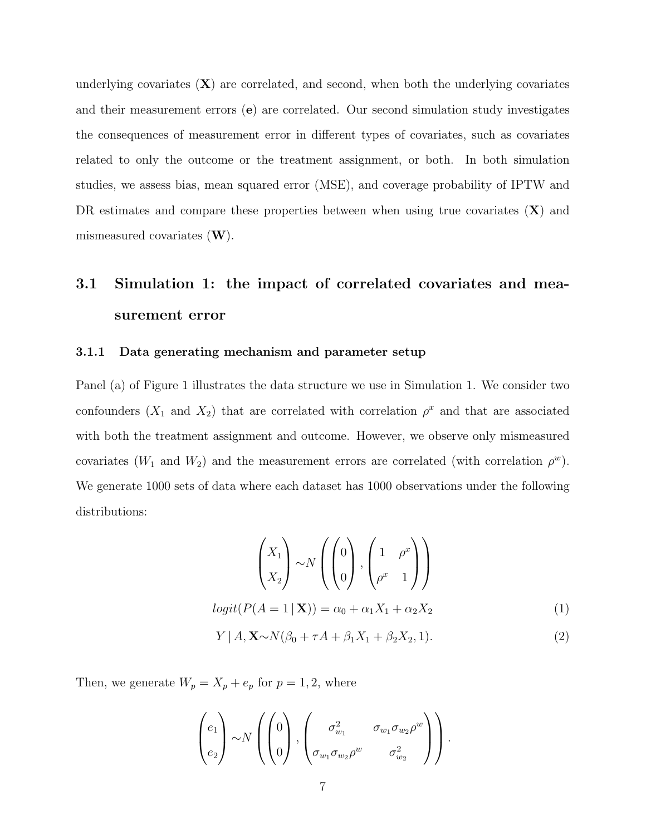underlying covariates  $(X)$  are correlated, and second, when both the underlying covariates and their measurement errors (e) are correlated. Our second simulation study investigates the consequences of measurement error in different types of covariates, such as covariates related to only the outcome or the treatment assignment, or both. In both simulation studies, we assess bias, mean squared error (MSE), and coverage probability of IPTW and DR estimates and compare these properties between when using true covariates  $(X)$  and mismeasured covariates  $(W)$ .

## 3.1 Simulation 1: the impact of correlated covariates and measurement error

#### 3.1.1 Data generating mechanism and parameter setup

Panel (a) of Figure 1 illustrates the data structure we use in Simulation 1. We consider two confounders  $(X_1$  and  $X_2)$  that are correlated with correlation  $\rho^x$  and that are associated with both the treatment assignment and outcome. However, we observe only mismeasured covariates ( $W_1$  and  $W_2$ ) and the measurement errors are correlated (with correlation  $\rho^w$ ). We generate 1000 sets of data where each dataset has 1000 observations under the following distributions:

$$
\begin{pmatrix} X_1 \\ X_2 \end{pmatrix} \sim N \left( \begin{pmatrix} 0 \\ 0 \end{pmatrix}, \begin{pmatrix} 1 & \rho^x \\ \rho^x & 1 \end{pmatrix} \right)
$$

$$
logit(P(A = 1 | \mathbf{X})) = \alpha_0 + \alpha_1 X_1 + \alpha_2 X_2
$$
(1)

$$
Y \mid A, \mathbf{X} \sim N(\beta_0 + \tau A + \beta_1 X_1 + \beta_2 X_2, 1). \tag{2}
$$

Then, we generate  $W_p = X_p + e_p$  for  $p = 1, 2$ , where

$$
\begin{pmatrix} e_1 \\ e_2 \end{pmatrix} \sim N \left( \begin{pmatrix} 0 \\ 0 \end{pmatrix}, \begin{pmatrix} \sigma_{w_1}^2 & \sigma_{w_1} \sigma_{w_2} \rho^w \\ \sigma_{w_1} \sigma_{w_2} \rho^w & \sigma_{w_2}^2 \end{pmatrix} \right).
$$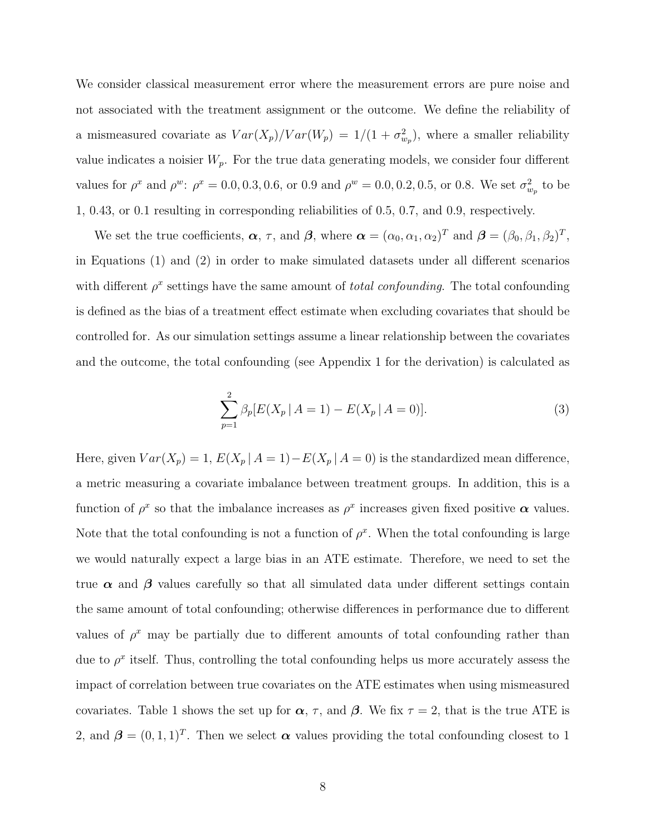We consider classical measurement error where the measurement errors are pure noise and not associated with the treatment assignment or the outcome. We define the reliability of a mismeasured covariate as  $Var(X_p)/Var(W_p) = 1/(1 + \sigma_{w_p}^2)$ , where a smaller reliability value indicates a noisier  $W_p$ . For the true data generating models, we consider four different values for  $\rho^x$  and  $\rho^w$ :  $\rho^x = 0.0, 0.3, 0.6,$  or 0.9 and  $\rho^w = 0.0, 0.2, 0.5,$  or 0.8. We set  $\sigma_{w_p}^2$  to be 1, 0.43, or 0.1 resulting in corresponding reliabilities of 0.5, 0.7, and 0.9, respectively.

We set the true coefficients,  $\boldsymbol{\alpha}$ ,  $\tau$ , and  $\boldsymbol{\beta}$ , where  $\boldsymbol{\alpha} = (\alpha_0, \alpha_1, \alpha_2)^T$  and  $\boldsymbol{\beta} = (\beta_0, \beta_1, \beta_2)^T$ , in Equations (1) and (2) in order to make simulated datasets under all different scenarios with different  $\rho^x$  settings have the same amount of *total confounding*. The total confounding is defined as the bias of a treatment effect estimate when excluding covariates that should be controlled for. As our simulation settings assume a linear relationship between the covariates and the outcome, the total confounding (see Appendix 1 for the derivation) is calculated as

$$
\sum_{p=1}^{2} \beta_p [E(X_p \mid A=1) - E(X_p \mid A=0)]. \tag{3}
$$

Here, given  $Var(X_p) = 1$ ,  $E(X_p | A = 1) - E(X_p | A = 0)$  is the standardized mean difference, a metric measuring a covariate imbalance between treatment groups. In addition, this is a function of  $\rho^x$  so that the imbalance increases as  $\rho^x$  increases given fixed positive  $\alpha$  values. Note that the total confounding is not a function of  $\rho^x$ . When the total confounding is large we would naturally expect a large bias in an ATE estimate. Therefore, we need to set the true  $\alpha$  and  $\beta$  values carefully so that all simulated data under different settings contain the same amount of total confounding; otherwise differences in performance due to different values of  $\rho^x$  may be partially due to different amounts of total confounding rather than due to  $\rho^x$  itself. Thus, controlling the total confounding helps us more accurately assess the impact of correlation between true covariates on the ATE estimates when using mismeasured covariates. Table 1 shows the set up for  $\alpha$ ,  $\tau$ , and  $\beta$ . We fix  $\tau = 2$ , that is the true ATE is 2, and  $\boldsymbol{\beta} = (0, 1, 1)^T$ . Then we select  $\boldsymbol{\alpha}$  values providing the total confounding closest to 1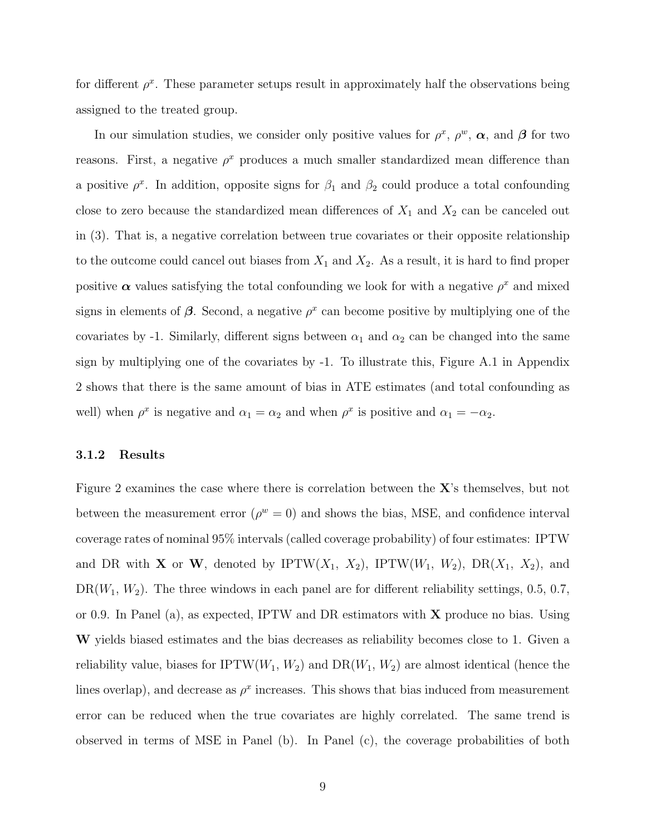for different  $\rho^x$ . These parameter setups result in approximately half the observations being assigned to the treated group.

In our simulation studies, we consider only positive values for  $\rho^x$ ,  $\rho^w$ ,  $\alpha$ , and  $\beta$  for two reasons. First, a negative  $\rho^x$  produces a much smaller standardized mean difference than a positive  $\rho^x$ . In addition, opposite signs for  $\beta_1$  and  $\beta_2$  could produce a total confounding close to zero because the standardized mean differences of  $X_1$  and  $X_2$  can be canceled out in (3). That is, a negative correlation between true covariates or their opposite relationship to the outcome could cancel out biases from  $X_1$  and  $X_2$ . As a result, it is hard to find proper positive  $\alpha$  values satisfying the total confounding we look for with a negative  $\rho^x$  and mixed signs in elements of  $\beta$ . Second, a negative  $\rho^x$  can become positive by multiplying one of the covariates by -1. Similarly, different signs between  $\alpha_1$  and  $\alpha_2$  can be changed into the same sign by multiplying one of the covariates by -1. To illustrate this, Figure A.1 in Appendix 2 shows that there is the same amount of bias in ATE estimates (and total confounding as well) when  $\rho^x$  is negative and  $\alpha_1 = \alpha_2$  and when  $\rho^x$  is positive and  $\alpha_1 = -\alpha_2$ .

### 3.1.2 Results

Figure 2 examines the case where there is correlation between the X's themselves, but not between the measurement error  $(\rho^w = 0)$  and shows the bias, MSE, and confidence interval coverage rates of nominal 95% intervals (called coverage probability) of four estimates: IPTW and DR with **X** or **W**, denoted by IPTW( $X_1$ ,  $X_2$ ), IPTW( $W_1$ ,  $W_2$ ), DR( $X_1$ ,  $X_2$ ), and  $DR(W_1, W_2)$ . The three windows in each panel are for different reliability settings, 0.5, 0.7, or 0.9. In Panel (a), as expected, IPTW and DR estimators with  $X$  produce no bias. Using W yields biased estimates and the bias decreases as reliability becomes close to 1. Given a reliability value, biases for IPTW $(W_1, W_2)$  and  $DR(W_1, W_2)$  are almost identical (hence the lines overlap), and decrease as  $\rho^x$  increases. This shows that bias induced from measurement error can be reduced when the true covariates are highly correlated. The same trend is observed in terms of MSE in Panel (b). In Panel (c), the coverage probabilities of both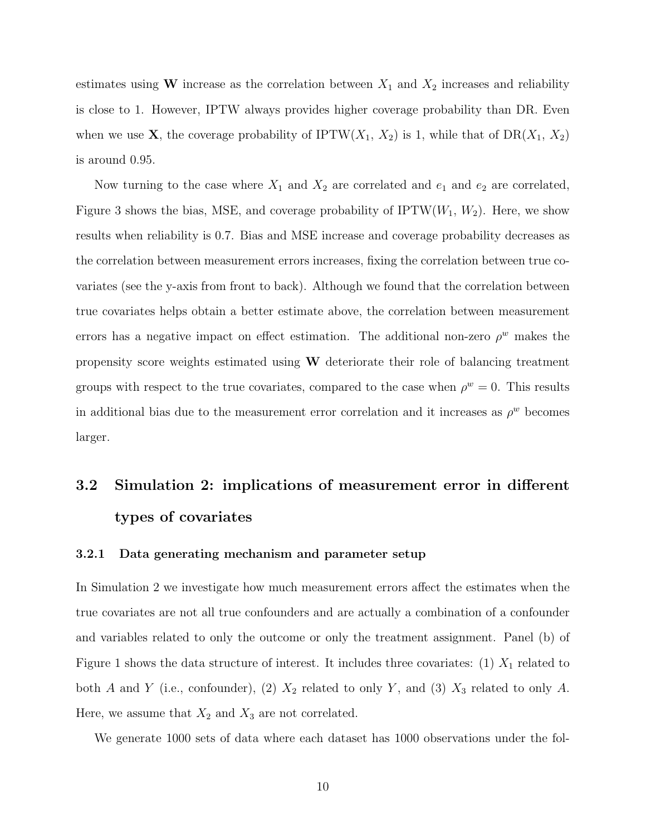estimates using W increase as the correlation between  $X_1$  and  $X_2$  increases and reliability is close to 1. However, IPTW always provides higher coverage probability than DR. Even when we use **X**, the coverage probability of IPTW( $X_1$ ,  $X_2$ ) is 1, while that of DR( $X_1$ ,  $X_2$ ) is around 0.95.

Now turning to the case where  $X_1$  and  $X_2$  are correlated and  $e_1$  and  $e_2$  are correlated, Figure 3 shows the bias, MSE, and coverage probability of  $IPTW(W_1, W_2)$ . Here, we show results when reliability is 0.7. Bias and MSE increase and coverage probability decreases as the correlation between measurement errors increases, fixing the correlation between true covariates (see the y-axis from front to back). Although we found that the correlation between true covariates helps obtain a better estimate above, the correlation between measurement errors has a negative impact on effect estimation. The additional non-zero  $\rho^w$  makes the propensity score weights estimated using  $W$  deteriorate their role of balancing treatment groups with respect to the true covariates, compared to the case when  $\rho^w = 0$ . This results in additional bias due to the measurement error correlation and it increases as  $\rho^w$  becomes larger.

## 3.2 Simulation 2: implications of measurement error in different types of covariates

### 3.2.1 Data generating mechanism and parameter setup

In Simulation 2 we investigate how much measurement errors affect the estimates when the true covariates are not all true confounders and are actually a combination of a confounder and variables related to only the outcome or only the treatment assignment. Panel (b) of Figure 1 shows the data structure of interest. It includes three covariates: (1)  $X_1$  related to both A and Y (i.e., confounder), (2)  $X_2$  related to only Y, and (3)  $X_3$  related to only A. Here, we assume that  $X_2$  and  $X_3$  are not correlated.

We generate 1000 sets of data where each dataset has 1000 observations under the fol-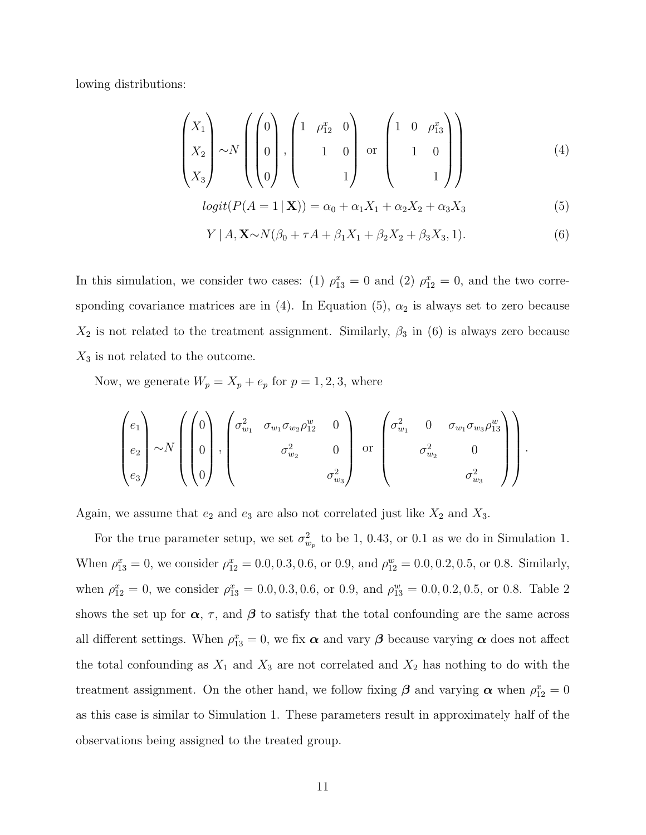lowing distributions:

$$
\begin{pmatrix} X_1 \\ X_2 \\ X_3 \end{pmatrix} \sim N \left( \begin{pmatrix} 0 \\ 0 \\ 0 \end{pmatrix}, \begin{pmatrix} 1 & \rho_{12}^x & 0 \\ & 1 & 0 \\ & & 1 \end{pmatrix} \text{ or } \begin{pmatrix} 1 & 0 & \rho_{13}^x \\ & 1 & 0 \\ & & 1 \end{pmatrix} \right)
$$
(4)

$$
logit(P(A = 1 | \mathbf{X})) = \alpha_0 + \alpha_1 X_1 + \alpha_2 X_2 + \alpha_3 X_3
$$
\n(5)

$$
Y | A, \mathbf{X} \sim N(\beta_0 + \tau A + \beta_1 X_1 + \beta_2 X_2 + \beta_3 X_3, 1).
$$
 (6)

.

In this simulation, we consider two cases: (1)  $\rho_{13}^x = 0$  and (2)  $\rho_{12}^x = 0$ , and the two corresponding covariance matrices are in (4). In Equation (5),  $\alpha_2$  is always set to zero because  $X_2$  is not related to the treatment assignment. Similarly,  $\beta_3$  in (6) is always zero because  $X_3$  is not related to the outcome.

Now, we generate  $W_p = X_p + e_p$  for  $p = 1, 2, 3$ , where

$$
\begin{pmatrix} e_1 \\ e_2 \\ e_3 \end{pmatrix} \sim N \left( \begin{pmatrix} 0 \\ 0 \\ 0 \\ 0 \end{pmatrix}, \begin{pmatrix} \sigma_{w_1}^2 & \sigma_{w_1} \sigma_{w_2} \rho_{12}^w & 0 \\ & \sigma_{w_2}^2 & 0 \\ & & \sigma_{w_3}^2 \end{pmatrix} \text{ or } \begin{pmatrix} \sigma_{w_1}^2 & 0 & \sigma_{w_1} \sigma_{w_3} \rho_{13}^w \\ & \sigma_{w_2}^2 & 0 \\ & & & \sigma_{w_3}^2 \end{pmatrix} \right)
$$

Again, we assume that  $e_2$  and  $e_3$  are also not correlated just like  $X_2$  and  $X_3$ .

For the true parameter setup, we set  $\sigma_{w_p}^2$  to be 1, 0.43, or 0.1 as we do in Simulation 1. When  $\rho_{13}^x = 0$ , we consider  $\rho_{12}^x = 0.0, 0.3, 0.6,$  or 0.9, and  $\rho_{12}^w = 0.0, 0.2, 0.5,$  or 0.8. Similarly, when  $\rho_{12}^x = 0$ , we consider  $\rho_{13}^x = 0.0, 0.3, 0.6$ , or 0.9, and  $\rho_{13}^w = 0.0, 0.2, 0.5$ , or 0.8. Table 2 shows the set up for  $\alpha$ ,  $\tau$ , and  $\beta$  to satisfy that the total confounding are the same across all different settings. When  $\rho_{13}^x = 0$ , we fix  $\alpha$  and vary  $\beta$  because varying  $\alpha$  does not affect the total confounding as  $X_1$  and  $X_3$  are not correlated and  $X_2$  has nothing to do with the treatment assignment. On the other hand, we follow fixing  $\beta$  and varying  $\alpha$  when  $\rho_{12}^x = 0$ as this case is similar to Simulation 1. These parameters result in approximately half of the observations being assigned to the treated group.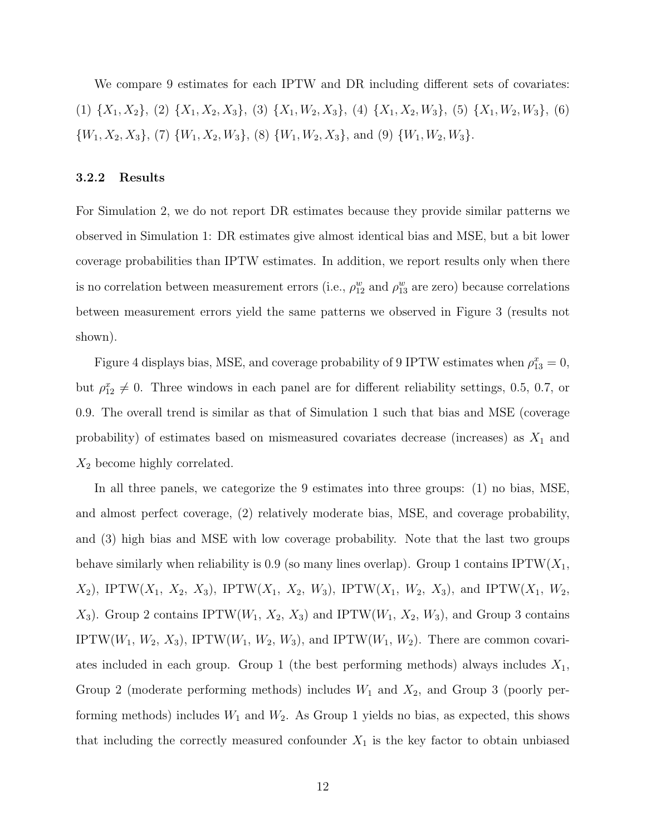We compare 9 estimates for each IPTW and DR including different sets of covariates: (1)  $\{X_1, X_2\}$ , (2)  $\{X_1, X_2, X_3\}$ , (3)  $\{X_1, W_2, X_3\}$ , (4)  $\{X_1, X_2, W_3\}$ , (5)  $\{X_1, W_2, W_3\}$ , (6)  $\{W_1, X_2, X_3\}$ , (7)  $\{W_1, X_2, W_3\}$ , (8)  $\{W_1, W_2, X_3\}$ , and (9)  $\{W_1, W_2, W_3\}$ .

### 3.2.2 Results

For Simulation 2, we do not report DR estimates because they provide similar patterns we observed in Simulation 1: DR estimates give almost identical bias and MSE, but a bit lower coverage probabilities than IPTW estimates. In addition, we report results only when there is no correlation between measurement errors (i.e.,  $\rho_{12}^w$  and  $\rho_{13}^w$  are zero) because correlations between measurement errors yield the same patterns we observed in Figure 3 (results not shown).

Figure 4 displays bias, MSE, and coverage probability of 9 IPTW estimates when  $\rho_{13}^x = 0$ , but  $\rho_{12}^x \neq 0$ . Three windows in each panel are for different reliability settings, 0.5, 0.7, or 0.9. The overall trend is similar as that of Simulation 1 such that bias and MSE (coverage probability) of estimates based on mismeasured covariates decrease (increases) as  $X_1$  and  $X_2$  become highly correlated.

In all three panels, we categorize the 9 estimates into three groups: (1) no bias, MSE, and almost perfect coverage, (2) relatively moderate bias, MSE, and coverage probability, and (3) high bias and MSE with low coverage probability. Note that the last two groups behave similarly when reliability is 0.9 (so many lines overlap). Group 1 contains  $\text{IPTW}(X_1,$  $X_2$ ), IPTW( $X_1$ ,  $X_2$ ,  $X_3$ ), IPTW( $X_1$ ,  $X_2$ ,  $W_3$ ), IPTW( $X_1$ ,  $W_2$ ,  $X_3$ ), and IPTW( $X_1$ ,  $W_2$ ,  $X_3$ ). Group 2 contains IPTW( $W_1, X_2, X_3$ ) and IPTW( $W_1, X_2, W_3$ ), and Group 3 contains IPTW( $W_1, W_2, X_3$ ), IPTW( $W_1, W_2, W_3$ ), and IPTW( $W_1, W_2$ ). There are common covariates included in each group. Group 1 (the best performing methods) always includes  $X_1$ , Group 2 (moderate performing methods) includes  $W_1$  and  $X_2$ , and Group 3 (poorly performing methods) includes  $W_1$  and  $W_2$ . As Group 1 yields no bias, as expected, this shows that including the correctly measured confounder  $X_1$  is the key factor to obtain unbiased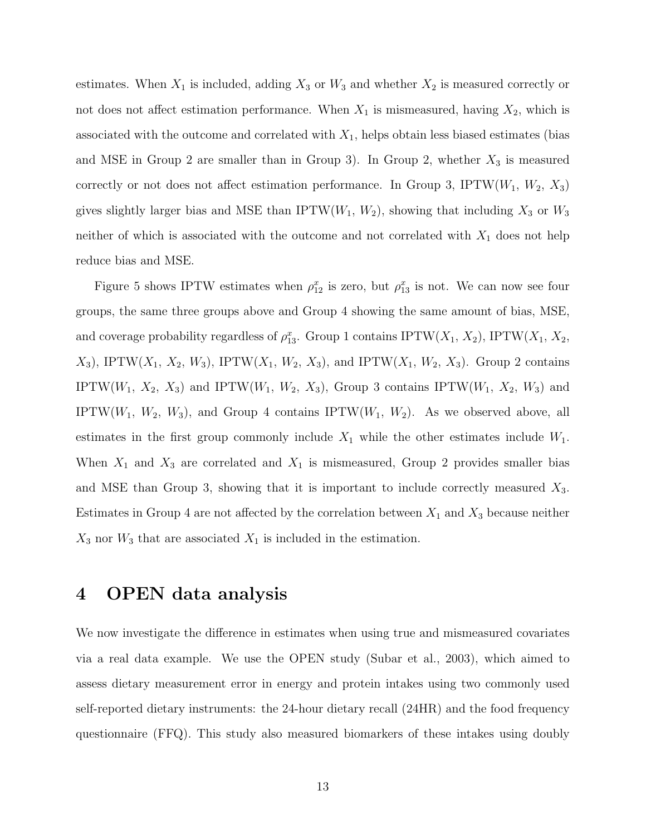estimates. When  $X_1$  is included, adding  $X_3$  or  $W_3$  and whether  $X_2$  is measured correctly or not does not affect estimation performance. When  $X_1$  is mismeasured, having  $X_2$ , which is associated with the outcome and correlated with  $X_1$ , helps obtain less biased estimates (bias and MSE in Group 2 are smaller than in Group 3). In Group 2, whether  $X_3$  is measured correctly or not does not affect estimation performance. In Group 3, IPTW( $W_1, W_2, X_3$ ) gives slightly larger bias and MSE than IPTW( $W_1, W_2$ ), showing that including  $X_3$  or  $W_3$ neither of which is associated with the outcome and not correlated with  $X_1$  does not help reduce bias and MSE.

Figure 5 shows IPTW estimates when  $\rho_{12}^x$  is zero, but  $\rho_{13}^x$  is not. We can now see four groups, the same three groups above and Group 4 showing the same amount of bias, MSE, and coverage probability regardless of  $\rho_{13}^x$ . Group 1 contains IPTW( $X_1, X_2$ ), IPTW( $X_1, X_2$ ),  $X_3$ , IPTW( $X_1, X_2, W_3$ ), IPTW( $X_1, W_2, X_3$ ), and IPTW( $X_1, W_2, X_3$ ). Group 2 contains IPTW( $W_1$ ,  $X_2$ ,  $X_3$ ) and IPTW( $W_1$ ,  $W_2$ ,  $X_3$ ), Group 3 contains IPTW( $W_1$ ,  $X_2$ ,  $W_3$ ) and IPTW( $W_1$ ,  $W_2$ ,  $W_3$ ), and Group 4 contains IPTW( $W_1$ ,  $W_2$ ). As we observed above, all estimates in the first group commonly include  $X_1$  while the other estimates include  $W_1$ . When  $X_1$  and  $X_3$  are correlated and  $X_1$  is mismeasured, Group 2 provides smaller bias and MSE than Group 3, showing that it is important to include correctly measured  $X_3$ . Estimates in Group 4 are not affected by the correlation between  $X_1$  and  $X_3$  because neither  $X_3$  nor  $W_3$  that are associated  $X_1$  is included in the estimation.

## 4 OPEN data analysis

We now investigate the difference in estimates when using true and mismeasured covariates via a real data example. We use the OPEN study (Subar et al., 2003), which aimed to assess dietary measurement error in energy and protein intakes using two commonly used self-reported dietary instruments: the 24-hour dietary recall (24HR) and the food frequency questionnaire (FFQ). This study also measured biomarkers of these intakes using doubly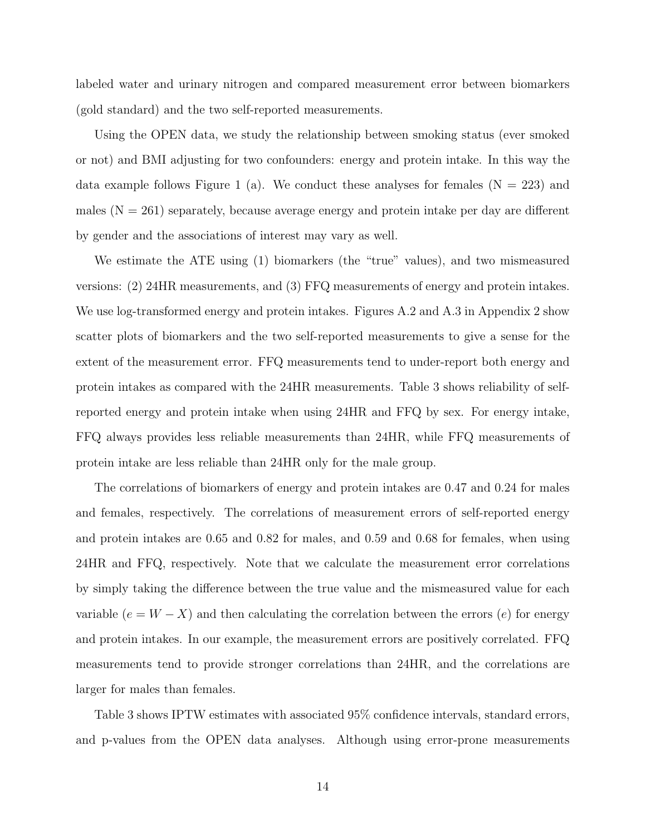labeled water and urinary nitrogen and compared measurement error between biomarkers (gold standard) and the two self-reported measurements.

Using the OPEN data, we study the relationship between smoking status (ever smoked or not) and BMI adjusting for two confounders: energy and protein intake. In this way the data example follows Figure 1 (a). We conduct these analyses for females  $(N = 223)$  and males  $(N = 261)$  separately, because average energy and protein intake per day are different by gender and the associations of interest may vary as well.

We estimate the ATE using (1) biomarkers (the "true" values), and two mismeasured versions: (2) 24HR measurements, and (3) FFQ measurements of energy and protein intakes. We use log-transformed energy and protein intakes. Figures A.2 and A.3 in Appendix 2 show scatter plots of biomarkers and the two self-reported measurements to give a sense for the extent of the measurement error. FFQ measurements tend to under-report both energy and protein intakes as compared with the 24HR measurements. Table 3 shows reliability of selfreported energy and protein intake when using 24HR and FFQ by sex. For energy intake, FFQ always provides less reliable measurements than 24HR, while FFQ measurements of protein intake are less reliable than 24HR only for the male group.

The correlations of biomarkers of energy and protein intakes are 0.47 and 0.24 for males and females, respectively. The correlations of measurement errors of self-reported energy and protein intakes are 0.65 and 0.82 for males, and 0.59 and 0.68 for females, when using 24HR and FFQ, respectively. Note that we calculate the measurement error correlations by simply taking the difference between the true value and the mismeasured value for each variable  $(e = W - X)$  and then calculating the correlation between the errors  $(e)$  for energy and protein intakes. In our example, the measurement errors are positively correlated. FFQ measurements tend to provide stronger correlations than 24HR, and the correlations are larger for males than females.

Table 3 shows IPTW estimates with associated 95% confidence intervals, standard errors, and p-values from the OPEN data analyses. Although using error-prone measurements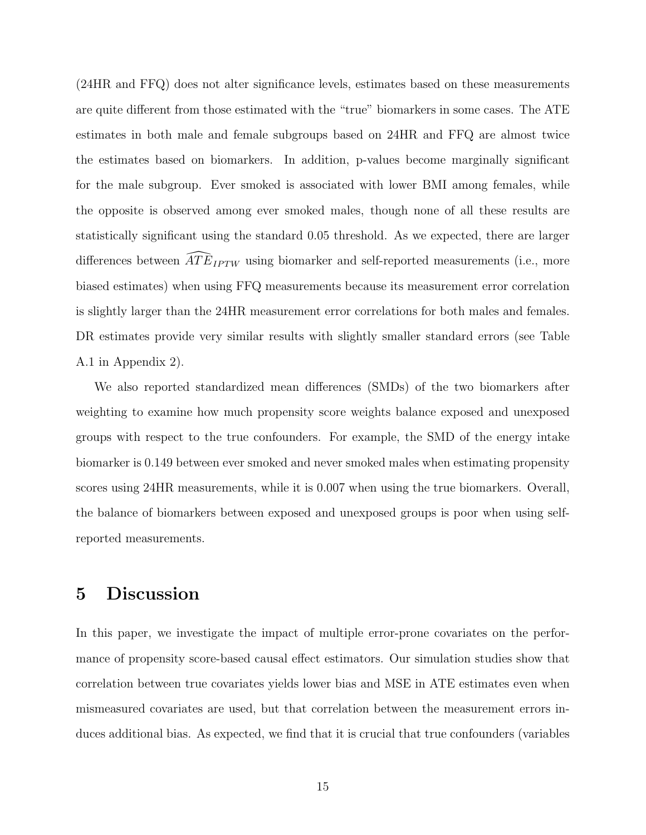(24HR and FFQ) does not alter significance levels, estimates based on these measurements are quite different from those estimated with the "true" biomarkers in some cases. The ATE estimates in both male and female subgroups based on 24HR and FFQ are almost twice the estimates based on biomarkers. In addition, p-values become marginally significant for the male subgroup. Ever smoked is associated with lower BMI among females, while the opposite is observed among ever smoked males, though none of all these results are statistically significant using the standard 0.05 threshold. As we expected, there are larger differences between  $\widehat{ATE}_{IPTW}$  using biomarker and self-reported measurements (i.e., more biased estimates) when using FFQ measurements because its measurement error correlation is slightly larger than the 24HR measurement error correlations for both males and females. DR estimates provide very similar results with slightly smaller standard errors (see Table A.1 in Appendix 2).

We also reported standardized mean differences (SMDs) of the two biomarkers after weighting to examine how much propensity score weights balance exposed and unexposed groups with respect to the true confounders. For example, the SMD of the energy intake biomarker is 0.149 between ever smoked and never smoked males when estimating propensity scores using 24HR measurements, while it is 0.007 when using the true biomarkers. Overall, the balance of biomarkers between exposed and unexposed groups is poor when using selfreported measurements.

### 5 Discussion

In this paper, we investigate the impact of multiple error-prone covariates on the performance of propensity score-based causal effect estimators. Our simulation studies show that correlation between true covariates yields lower bias and MSE in ATE estimates even when mismeasured covariates are used, but that correlation between the measurement errors induces additional bias. As expected, we find that it is crucial that true confounders (variables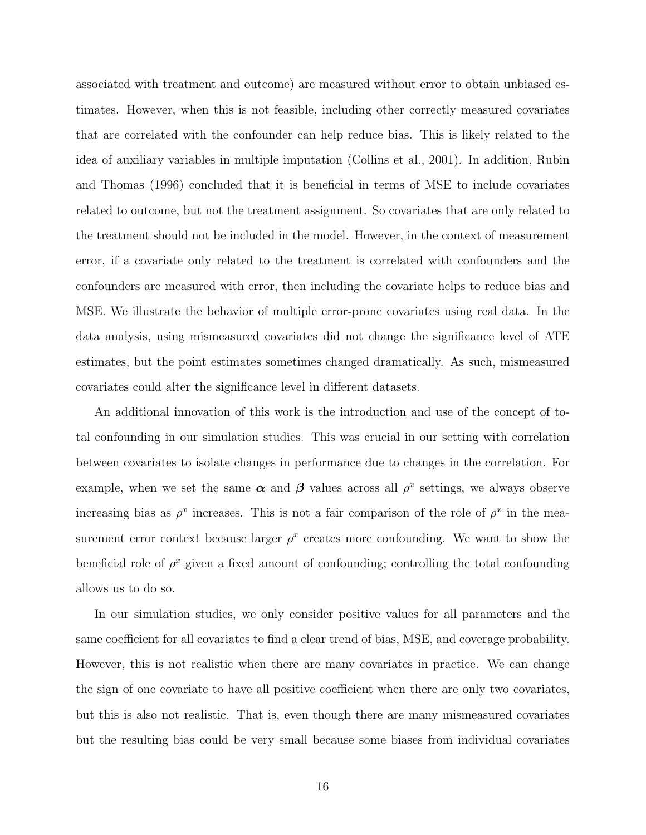associated with treatment and outcome) are measured without error to obtain unbiased estimates. However, when this is not feasible, including other correctly measured covariates that are correlated with the confounder can help reduce bias. This is likely related to the idea of auxiliary variables in multiple imputation (Collins et al., 2001). In addition, Rubin and Thomas (1996) concluded that it is beneficial in terms of MSE to include covariates related to outcome, but not the treatment assignment. So covariates that are only related to the treatment should not be included in the model. However, in the context of measurement error, if a covariate only related to the treatment is correlated with confounders and the confounders are measured with error, then including the covariate helps to reduce bias and MSE. We illustrate the behavior of multiple error-prone covariates using real data. In the data analysis, using mismeasured covariates did not change the significance level of ATE estimates, but the point estimates sometimes changed dramatically. As such, mismeasured covariates could alter the significance level in different datasets.

An additional innovation of this work is the introduction and use of the concept of total confounding in our simulation studies. This was crucial in our setting with correlation between covariates to isolate changes in performance due to changes in the correlation. For example, when we set the same  $\alpha$  and  $\beta$  values across all  $\rho^x$  settings, we always observe increasing bias as  $\rho^x$  increases. This is not a fair comparison of the role of  $\rho^x$  in the measurement error context because larger  $\rho^x$  creates more confounding. We want to show the beneficial role of  $\rho^x$  given a fixed amount of confounding; controlling the total confounding allows us to do so.

In our simulation studies, we only consider positive values for all parameters and the same coefficient for all covariates to find a clear trend of bias, MSE, and coverage probability. However, this is not realistic when there are many covariates in practice. We can change the sign of one covariate to have all positive coefficient when there are only two covariates, but this is also not realistic. That is, even though there are many mismeasured covariates but the resulting bias could be very small because some biases from individual covariates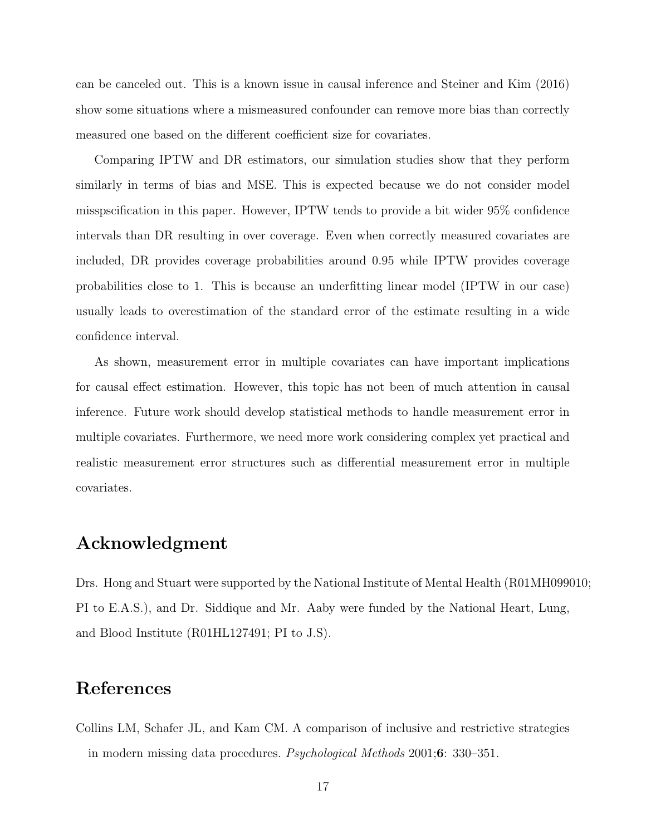can be canceled out. This is a known issue in causal inference and Steiner and Kim (2016) show some situations where a mismeasured confounder can remove more bias than correctly measured one based on the different coefficient size for covariates.

Comparing IPTW and DR estimators, our simulation studies show that they perform similarly in terms of bias and MSE. This is expected because we do not consider model misspscification in this paper. However, IPTW tends to provide a bit wider 95% confidence intervals than DR resulting in over coverage. Even when correctly measured covariates are included, DR provides coverage probabilities around 0.95 while IPTW provides coverage probabilities close to 1. This is because an underfitting linear model (IPTW in our case) usually leads to overestimation of the standard error of the estimate resulting in a wide confidence interval.

As shown, measurement error in multiple covariates can have important implications for causal effect estimation. However, this topic has not been of much attention in causal inference. Future work should develop statistical methods to handle measurement error in multiple covariates. Furthermore, we need more work considering complex yet practical and realistic measurement error structures such as differential measurement error in multiple covariates.

## Acknowledgment

Drs. Hong and Stuart were supported by the National Institute of Mental Health (R01MH099010; PI to E.A.S.), and Dr. Siddique and Mr. Aaby were funded by the National Heart, Lung, and Blood Institute (R01HL127491; PI to J.S).

## References

Collins LM, Schafer JL, and Kam CM. A comparison of inclusive and restrictive strategies in modern missing data procedures. Psychological Methods 2001;6: 330–351.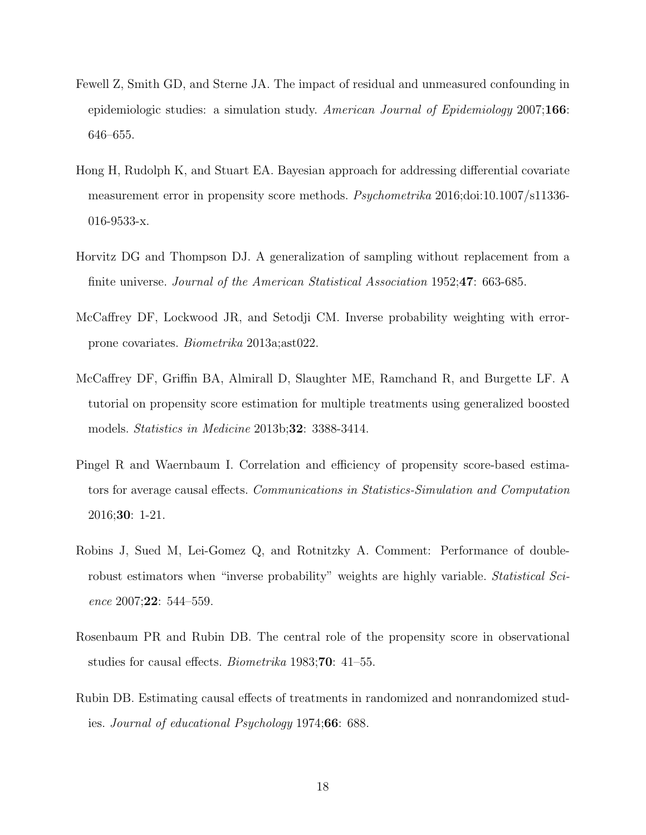- Fewell Z, Smith GD, and Sterne JA. The impact of residual and unmeasured confounding in epidemiologic studies: a simulation study. American Journal of Epidemiology  $2007;166$ : 646–655.
- Hong H, Rudolph K, and Stuart EA. Bayesian approach for addressing differential covariate measurement error in propensity score methods. Psychometrika 2016;doi:10.1007/s11336- 016-9533-x.
- Horvitz DG and Thompson DJ. A generalization of sampling without replacement from a finite universe. Journal of the American Statistical Association 1952;47: 663-685.
- McCaffrey DF, Lockwood JR, and Setodji CM. Inverse probability weighting with errorprone covariates. Biometrika 2013a;ast022.
- McCaffrey DF, Griffin BA, Almirall D, Slaughter ME, Ramchand R, and Burgette LF. A tutorial on propensity score estimation for multiple treatments using generalized boosted models. *Statistics in Medicine* 2013b;**32**: 3388-3414.
- Pingel R and Waernbaum I. Correlation and efficiency of propensity score-based estimators for average causal effects. Communications in Statistics-Simulation and Computation 2016;30: 1-21.
- Robins J, Sued M, Lei-Gomez Q, and Rotnitzky A. Comment: Performance of doublerobust estimators when "inverse probability" weights are highly variable. *Statistical Sci*ence 2007;22: 544–559.
- Rosenbaum PR and Rubin DB. The central role of the propensity score in observational studies for causal effects. Biometrika 1983;70: 41–55.
- Rubin DB. Estimating causal effects of treatments in randomized and nonrandomized studies. Journal of educational Psychology 1974;66: 688.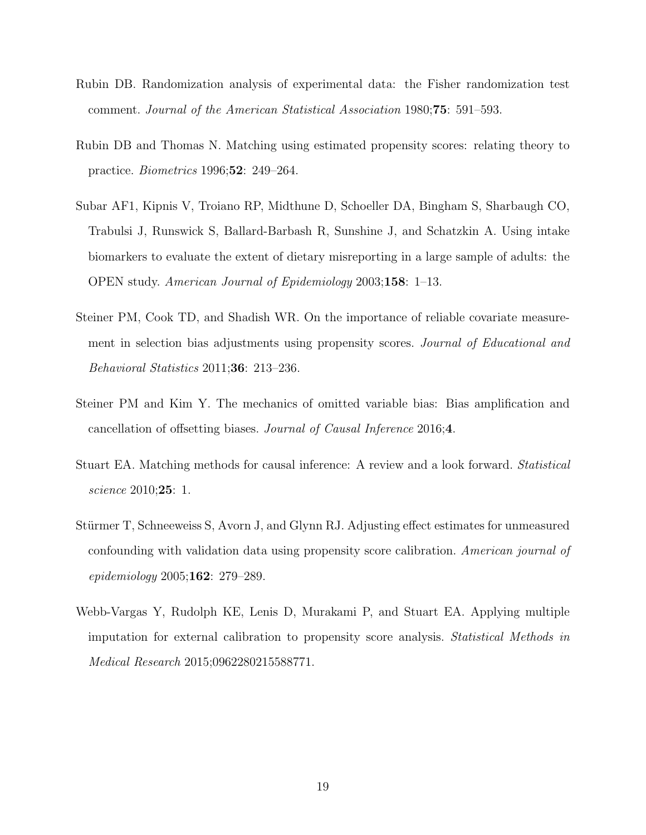- Rubin DB. Randomization analysis of experimental data: the Fisher randomization test comment. Journal of the American Statistical Association 1980;75: 591–593.
- Rubin DB and Thomas N. Matching using estimated propensity scores: relating theory to practice. Biometrics 1996;52: 249–264.
- Subar AF1, Kipnis V, Troiano RP, Midthune D, Schoeller DA, Bingham S, Sharbaugh CO, Trabulsi J, Runswick S, Ballard-Barbash R, Sunshine J, and Schatzkin A. Using intake biomarkers to evaluate the extent of dietary misreporting in a large sample of adults: the OPEN study. American Journal of Epidemiology 2003;158: 1–13.
- Steiner PM, Cook TD, and Shadish WR. On the importance of reliable covariate measurement in selection bias adjustments using propensity scores. Journal of Educational and Behavioral Statistics 2011;36: 213–236.
- Steiner PM and Kim Y. The mechanics of omitted variable bias: Bias amplification and cancellation of offsetting biases. Journal of Causal Inference 2016;4.
- Stuart EA. Matching methods for causal inference: A review and a look forward. Statistical science 2010;25: 1.
- Stürmer T, Schneeweiss S, Avorn J, and Glynn RJ. Adjusting effect estimates for unmeasured confounding with validation data using propensity score calibration. American journal of epidemiology 2005;162: 279–289.
- Webb-Vargas Y, Rudolph KE, Lenis D, Murakami P, and Stuart EA. Applying multiple imputation for external calibration to propensity score analysis. Statistical Methods in Medical Research 2015;0962280215588771.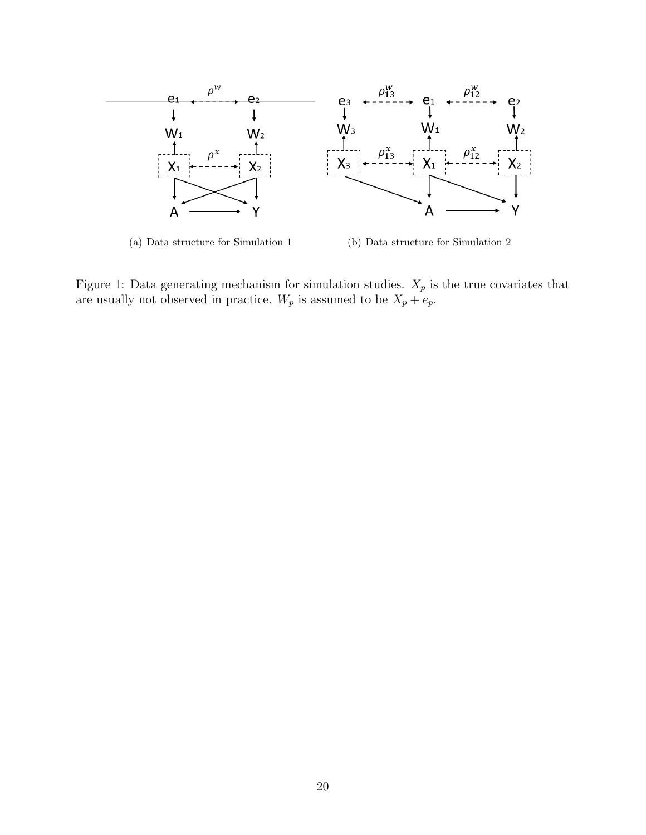

(a) Data structure for Simulation 1 (b) Data structure for Simulation 2

Figure 1: Data generating mechanism for simulation studies.  $X_p$  is the true covariates that are usually not observed in practice.  $W_p$  is assumed to be  $X_p + e_p$ .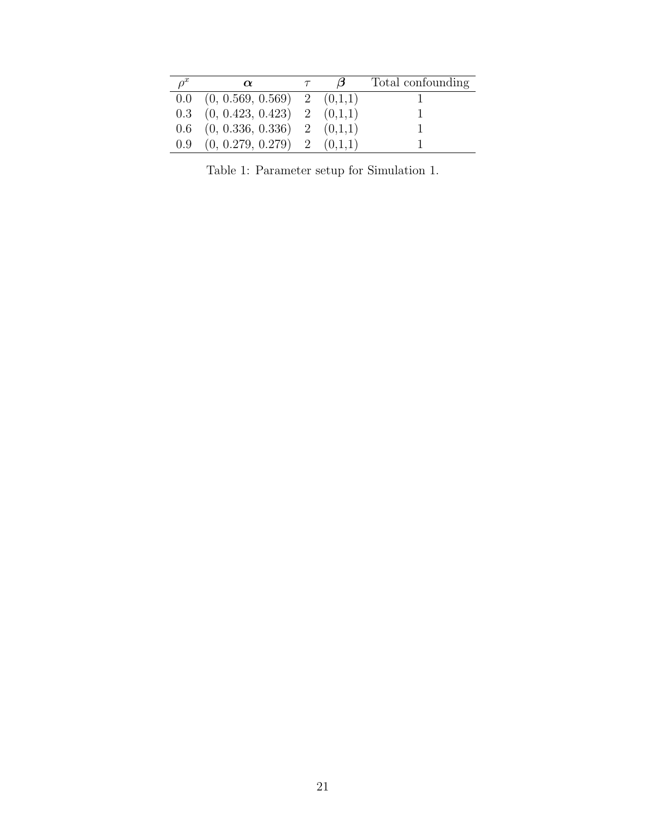| $\rho^x$ | $\alpha$                                             | $\beta$ | Total confounding |
|----------|------------------------------------------------------|---------|-------------------|
|          | $0.0 \quad (0, 0.569, 0.569) \quad 2 \quad (0,1,1)$  |         |                   |
|          | $0.3$ $(0, 0.423, 0.423)$ 2 $(0,1,1)$                |         |                   |
|          | $(0.6 \quad (0, 0.336, 0.336) \quad 2 \quad (0,1,1)$ |         |                   |
|          | $0.9$ $(0, 0.279, 0.279)$ 2 $(0,1,1)$                |         |                   |

Table 1: Parameter setup for Simulation 1.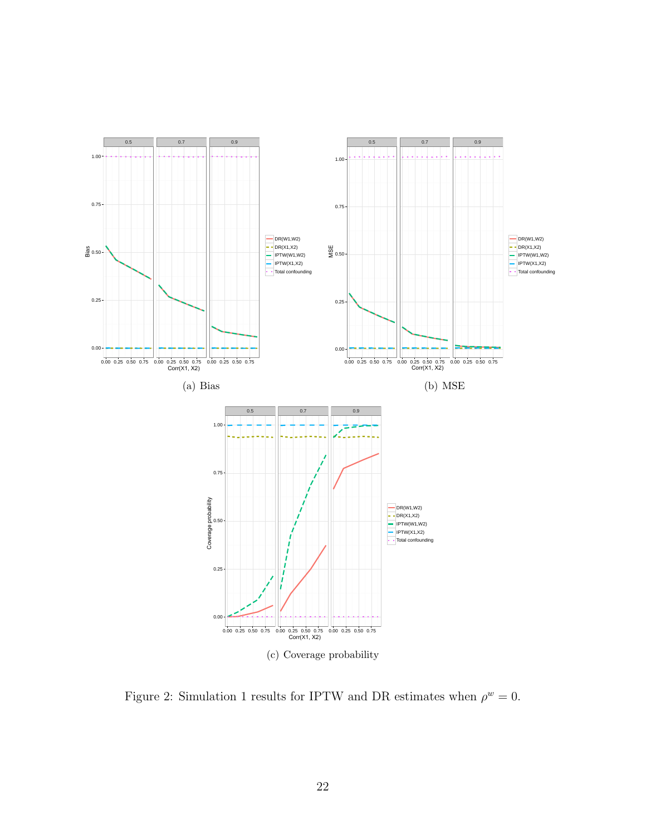

Figure 2: Simulation 1 results for IPTW and DR estimates when  $\rho^w = 0$ .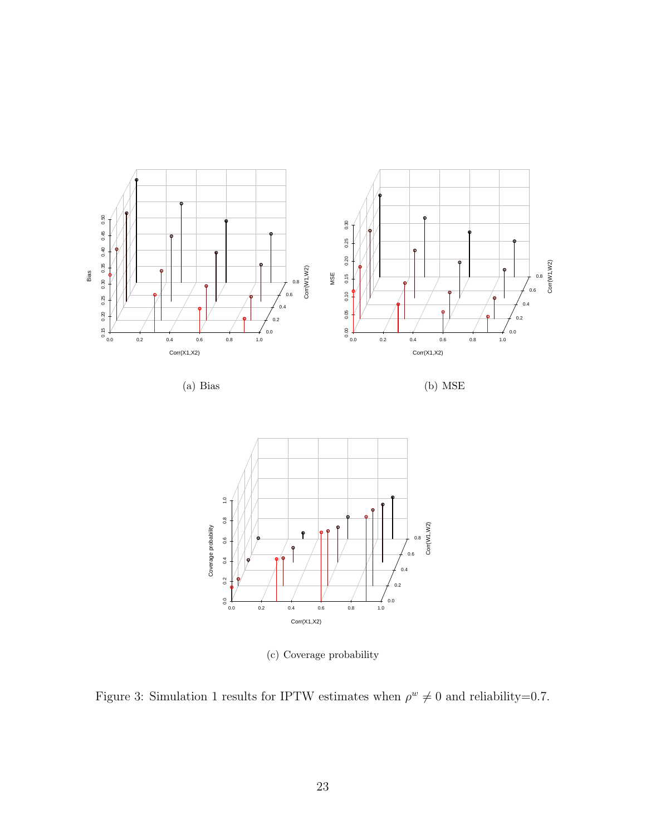



(c) Coverage probability

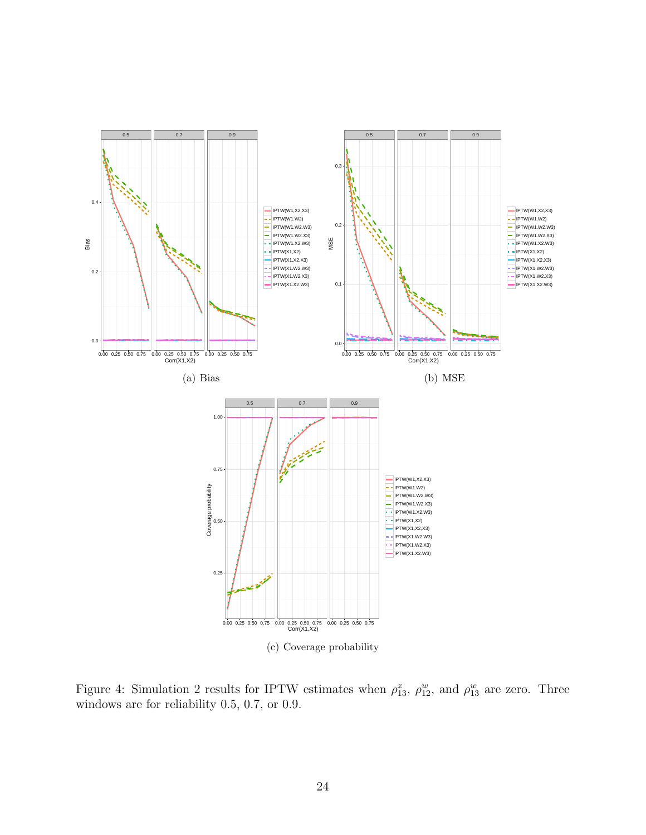

Figure 4: Simulation 2 results for IPTW estimates when  $\rho_{13}^x$ ,  $\rho_{12}^w$ , and  $\rho_{13}^w$  are zero. Three windows are for reliability 0.5, 0.7, or 0.9.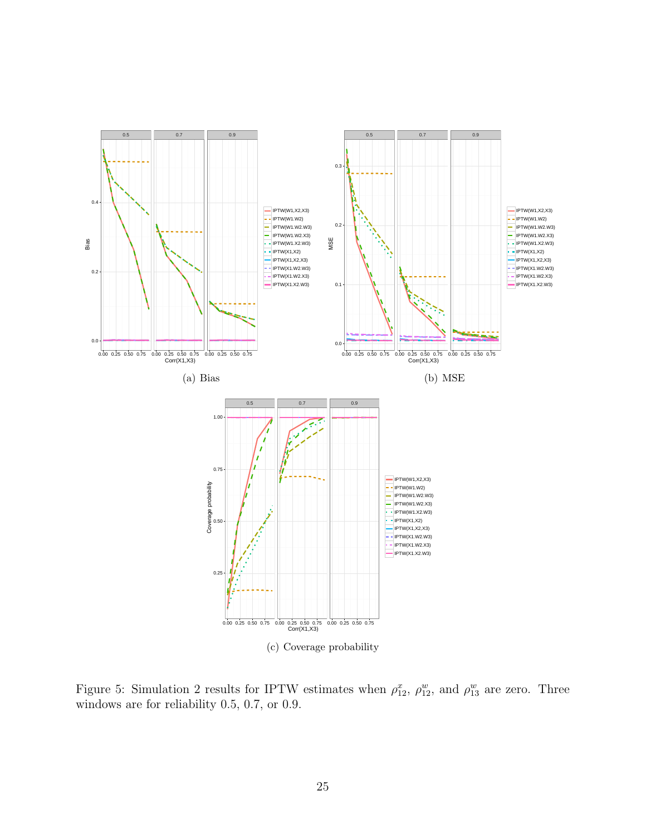

Figure 5: Simulation 2 results for IPTW estimates when  $\rho_{12}^x$ ,  $\rho_{12}^w$ , and  $\rho_{13}^w$  are zero. Three windows are for reliability 0.5, 0.7, or 0.9.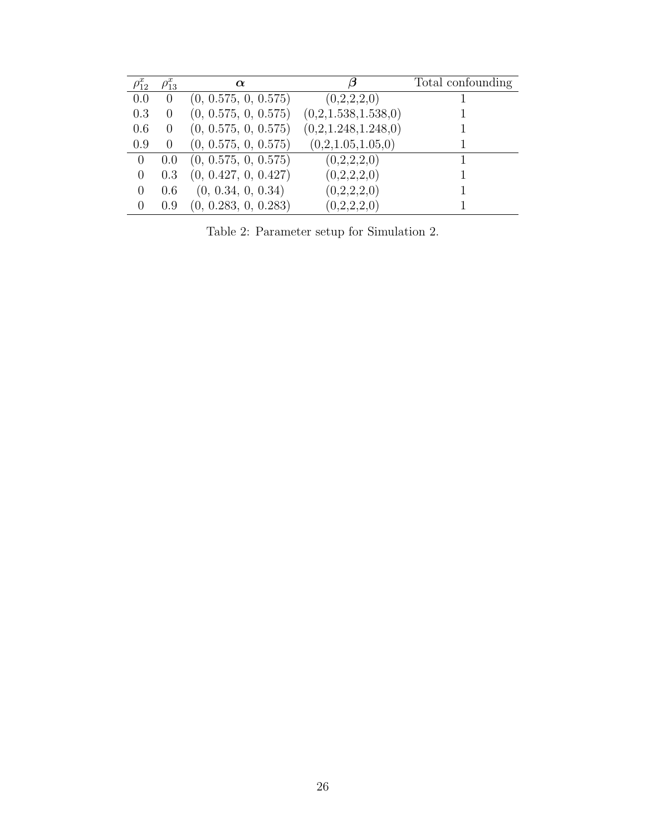| $\rho_{12}^x$  | $\rho_{13}^x$ | $\alpha$             |                     | Total confounding |
|----------------|---------------|----------------------|---------------------|-------------------|
| 0.0            | $\theta$      | (0, 0.575, 0, 0.575) | (0,2,2,2,0)         |                   |
| 0.3            |               | (0, 0.575, 0, 0.575) | (0,2,1.538,1.538,0) |                   |
| 0.6            |               | (0, 0.575, 0, 0.575) | (0,2,1.248,1.248,0) |                   |
| 0.9            |               | (0, 0.575, 0, 0.575) | (0,2,1.05,1.05,0)   |                   |
| $\overline{0}$ | 0.0           | (0, 0.575, 0, 0.575) | (0,2,2,2,0)         |                   |
| $\Omega$       | 0.3           | (0, 0.427, 0, 0.427) | (0,2,2,2,0)         |                   |
| $\Omega$       | 0.6           | (0, 0.34, 0, 0.34)   | (0,2,2,2,0)         |                   |
| $\Omega$       | 0.9           | (0, 0.283, 0, 0.283) | (0,2,2,2,0)         |                   |

Table 2: Parameter setup for Simulation 2.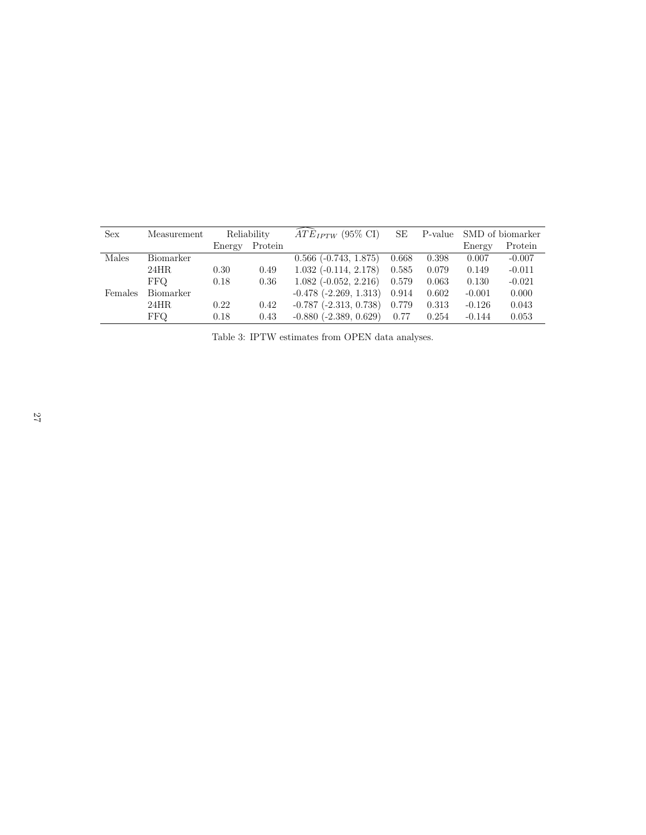| <b>Sex</b> | Measurement | Reliability |         | $\widehat{ATE}_{IPTW}$ (95% CI) | SE    |       | P-value SMD of biomarker |          |
|------------|-------------|-------------|---------|---------------------------------|-------|-------|--------------------------|----------|
|            |             | Energy      | Protein |                                 |       |       | Energy                   | Protein  |
| Males      | Biomarker   |             |         | $0.566$ ( $-0.743$ , $1.875$ )  | 0.668 | 0.398 | 0.007                    | $-0.007$ |
|            | 24HR        | 0.30        | 0.49    | $1.032$ ( $-0.114$ , $2.178$ )  | 0.585 | 0.079 | 0.149                    | $-0.011$ |
|            | <b>FFO</b>  | 0.18        | 0.36    | $1.082$ ( $-0.052$ , $2.216$ )  | 0.579 | 0.063 | 0.130                    | $-0.021$ |
| Females    | Biomarker   |             |         | $-0.478$ $(-2.269, 1.313)$      | 0.914 | 0.602 | $-0.001$                 | 0.000    |
|            | 24HR        | 0.22        | 0.42    | $-0.787$ $(-2.313, 0.738)$      | 0.779 | 0.313 | $-0.126$                 | 0.043    |
|            | FFQ.        | 0.18        | 0.43    | $-0.880$ $(-2.389, 0.629)$      | 0.77  | 0.254 | $-0.144$                 | 0.053    |

Table 3: IPTW estimates from OPEN data analyses.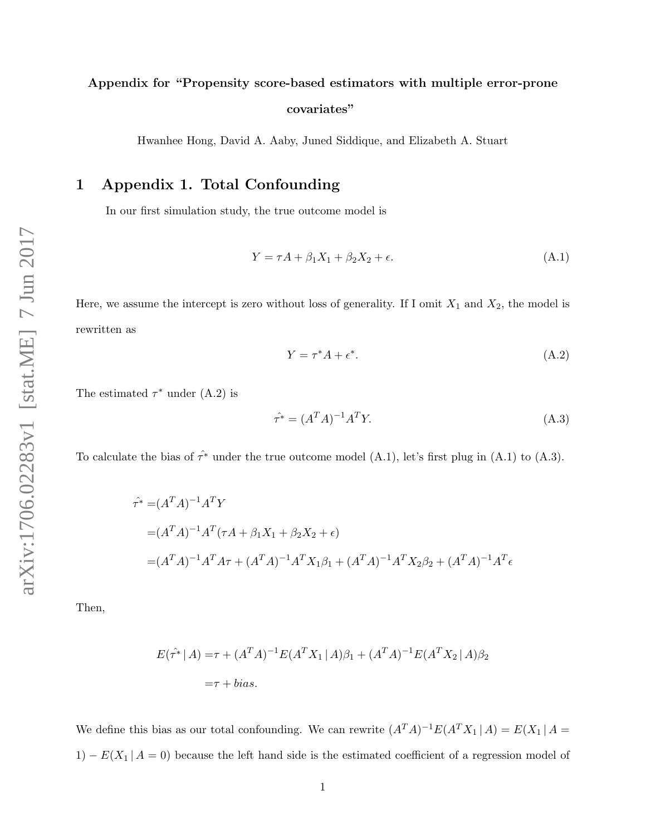## Appendix for "Propensity score-based estimators with multiple error-prone covariates"

Hwanhee Hong, David A. Aaby, Juned Siddique, and Elizabeth A. Stuart

### 1 Appendix 1. Total Confounding

In our first simulation study, the true outcome model is

$$
Y = \tau A + \beta_1 X_1 + \beta_2 X_2 + \epsilon. \tag{A.1}
$$

Here, we assume the intercept is zero without loss of generality. If I omit  $X_1$  and  $X_2$ , the model is rewritten as

$$
Y = \tau^* A + \epsilon^*.
$$
 (A.2)

The estimated  $\tau^*$  under (A.2) is

$$
\hat{\tau^*} = (A^T A)^{-1} A^T Y. \tag{A.3}
$$

To calculate the bias of  $\hat{\tau}^*$  under the true outcome model (A.1), let's first plug in (A.1) to (A.3).

$$
\hat{\tau}^* = (A^T A)^{-1} A^T Y
$$
  
=  $(A^T A)^{-1} A^T (\tau A + \beta_1 X_1 + \beta_2 X_2 + \epsilon)$   
=  $(A^T A)^{-1} A^T A \tau + (A^T A)^{-1} A^T X_1 \beta_1 + (A^T A)^{-1} A^T X_2 \beta_2 + (A^T A)^{-1} A^T \epsilon$ 

Then,

$$
E(\hat{\tau^*} | A) = \tau + (A^T A)^{-1} E(A^T X_1 | A) \beta_1 + (A^T A)^{-1} E(A^T X_2 | A) \beta_2
$$
  
=  $\tau + bias$ .

We define this bias as our total confounding. We can rewrite  $(A^T A)^{-1} E(A^T X_1 | A) = E(X_1 | A)$ 1) –  $E(X_1 | A = 0)$  because the left hand side is the estimated coefficient of a regression model of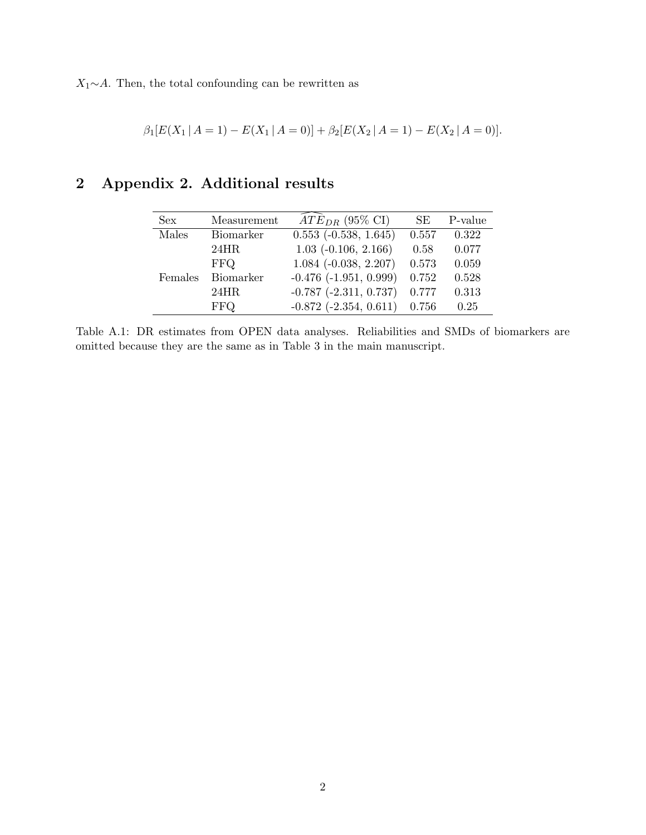$X_1 \sim A$ . Then, the total confounding can be rewritten as

$$
\beta_1[E(X_1 | A = 1) - E(X_1 | A = 0)] + \beta_2[E(X_2 | A = 1) - E(X_2 | A = 0)].
$$

## 2 Appendix 2. Additional results

| Sex     | Measurement | $\widehat{ATE}_{DR}$ (95% CI)  | SE.   | P-value |
|---------|-------------|--------------------------------|-------|---------|
| Males   | Biomarker   | $0.553$ ( $-0.538$ , $1.645$ ) | 0.557 | 0.322   |
|         | 24HR        | $1.03$ ( $-0.106$ , $2.166$ )  | 0.58  | 0.077   |
|         | FFQ.        | $1.084$ ( $-0.038$ , $2.207$ ) | 0.573 | 0.059   |
| Females | Biomarker   | $-0.476$ $(-1.951, 0.999)$     | 0.752 | 0.528   |
|         | 24HR        | $-0.787$ $(-2.311, 0.737)$     | 0.777 | 0.313   |
|         | FFQ.        | $-0.872$ $(-2.354, 0.611)$     | 0.756 | 0.25    |

Table A.1: DR estimates from OPEN data analyses. Reliabilities and SMDs of biomarkers are omitted because they are the same as in Table 3 in the main manuscript.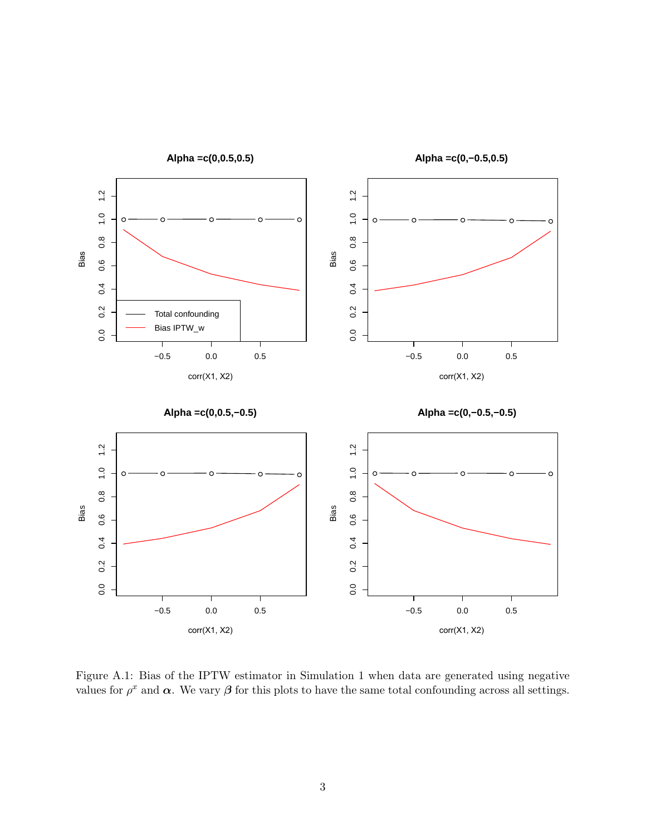

Figure A.1: Bias of the IPTW estimator in Simulation 1 when data are generated using negative values for  $\rho^x$  and  $\alpha$ . We vary  $\beta$  for this plots to have the same total confounding across all settings.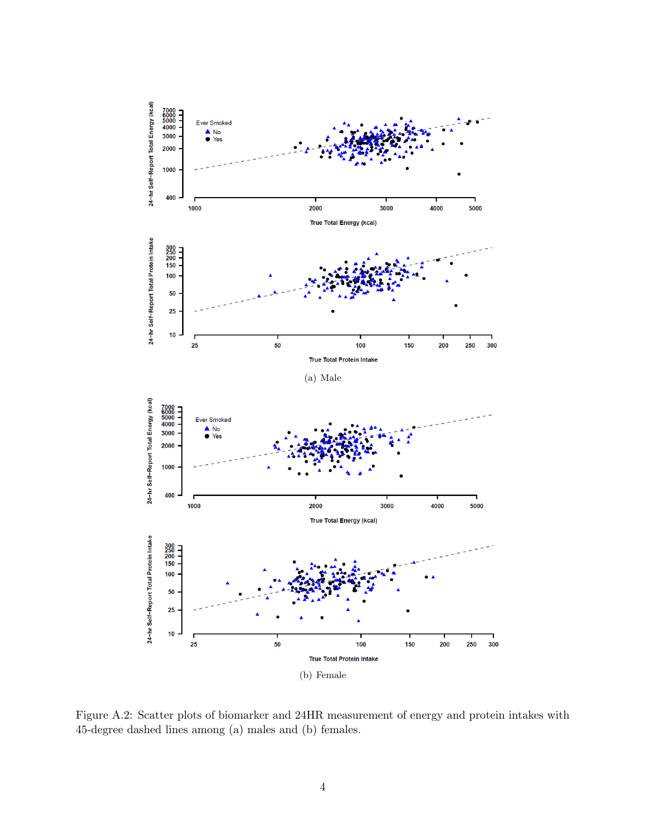

Figure A.2: Scatter plots of biomarker and 24HR measurement of energy and protein intakes with 45-degree dashed lines among (a) males and (b) females.